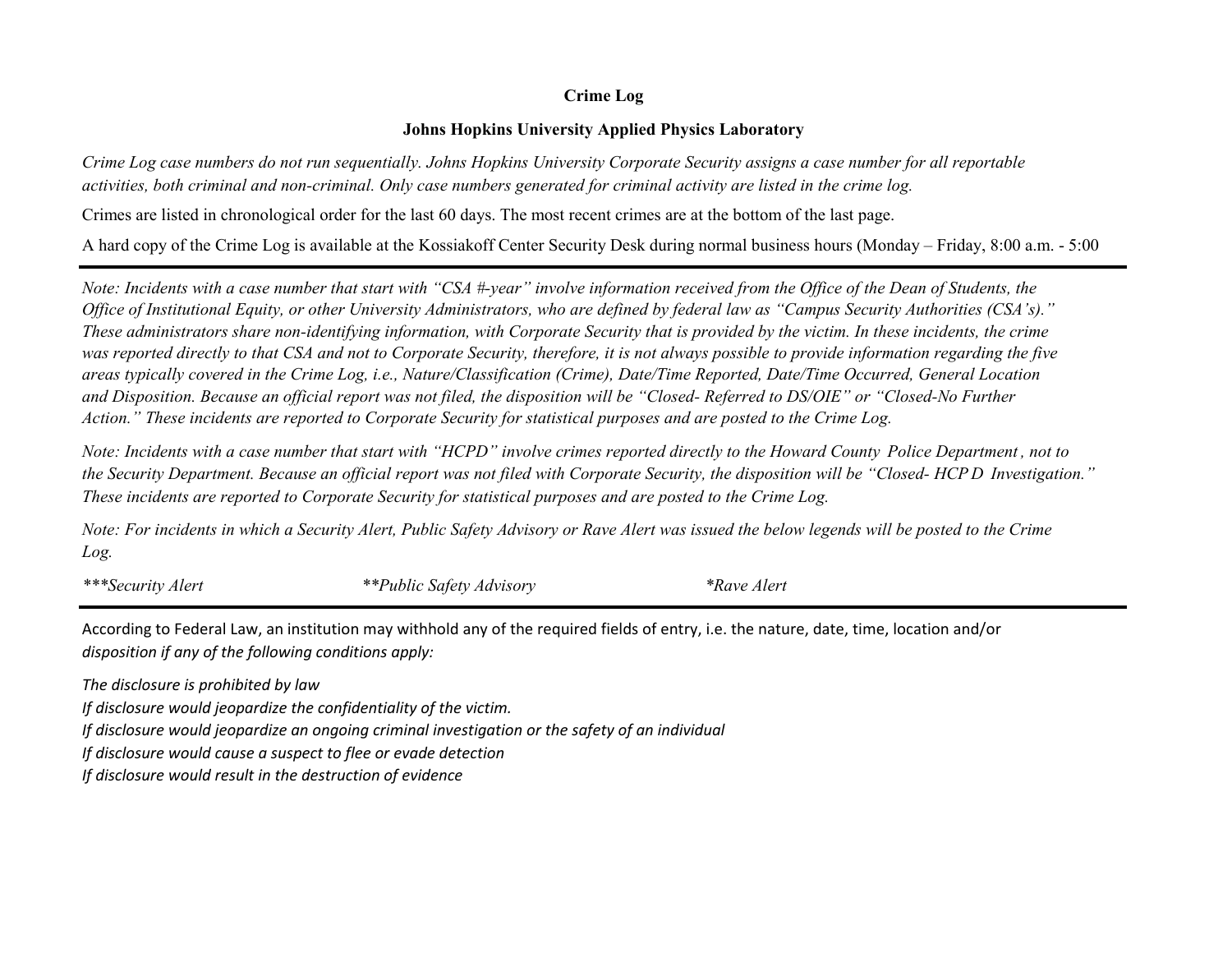## **Crime Log**

## **Johns Hopkins University Applied Physics Laboratory**

*Crime Log case numbers do not run sequentially. Johns Hopkins University Corporate Security assigns a case number for all reportable activities, both criminal and non-criminal. Only case numbers generated for criminal activity are listed in the crime log.*

Crimes are listed in chronological order for the last 60 days. The most recent crimes are at the bottom of the last page.

A hard copy of the Crime Log is available at the Kossiakoff Center Security Desk during normal business hours (Monday – Friday, 8:00 a.m. - 5:00

*Note: Incidents with a case number that start with "CSA #-year" involve information received from the Office of the Dean of Students, the Office of Institutional Equity, or other University Administrators, who are defined by federal law as "Campus Security Authorities (CSA's)." These administrators share non-identifying information, with Corporate Security that is provided by the victim. In these incidents, the crime was reported directly to that CSA and not to Corporate Security, therefore, it is not always possible to provide information regarding the five areas typically covered in the Crime Log, i.e., Nature/Classification (Crime), Date/Time Reported, Date/Time Occurred, General Location and Disposition. Because an official report was not filed, the disposition will be "Closed- Referred to DS/OIE" or "Closed-No Further Action." These incidents are reported to Corporate Security for statistical purposes and are posted to the Crime Log.*

*Note: Incidents with a case number that start with "HCPD" involve crimes reported directly to the Howard County Police Department , not to These incidents are reported to Corporate Security for statistical purposes and are posted to the Crime Log. the Security Department. Because an official report was not filed with Corporate Security, the disposition will be "Closed- HCP D Investigation."*

*Log. Note: For incidents in which a Security Alert, Public Safety Advisory or Rave Alert was issued the below legends will be posted to the Crime*

*\*\*\*Security Alert \*\*Public Safety Advisory \*Rave Alert*

According to Federal Law, an institution may withhold any of the required fields of entry, i.e. the nature, date, time, location and/or *disposition if any of the following conditions apply:* 

*The disclosure is prohibited by law* 

*If disclosure would jeopardize the confidentiality of the victim.* 

*If disclosure would jeopardize an ongoing criminal investigation or the safety of an individual* 

*If disclosure would cause a suspect to flee or evade detection* 

*If disclosure would result in the destruction of evidence*